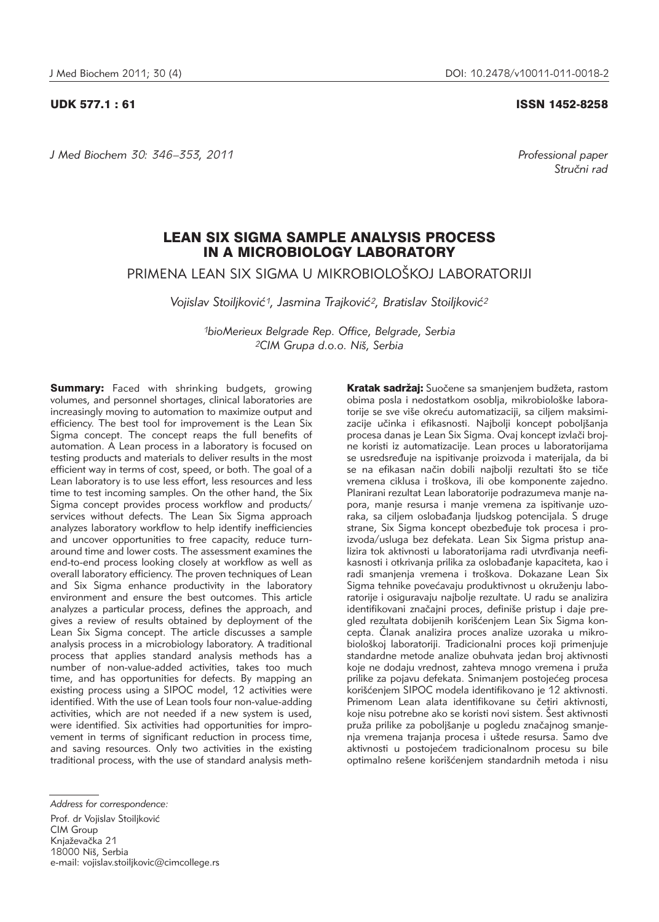*J Med Biochem 30: 346–353, 2011 Professional paper*

#### UDK 577.1 : 61 ISSN 1452-8258

Stručni rad

# LEAN SIX SIGMA SAMPLE ANALYSIS PROCESS IN A MICROBIOLOGY LABORATORY

PRIMENA LEAN SIX SIGMA U MIKROBIOLOŠKOJ LABORATORIJI

Vojislav Stoiljković<sup>1</sup>, Jasmina Trajković<sup>2</sup>, Bratislav Stoiljković<sup>2</sup>

*1bioMerieux Belgrade Rep. Office, Belgrade, Serbia 2CIM Grupa d.o.o. Ni{, Serbia*

**Summary:** Faced with shrinking budgets, growing volumes, and personnel shortages, clinical laboratories are increasingly moving to automation to maximize output and efficiency. The best tool for improvement is the Lean Six Sigma concept. The concept reaps the full benefits of automation. A Lean process in a laboratory is focused on testing products and materials to deliver results in the most efficient way in terms of cost, speed, or both. The goal of a Lean laboratory is to use less effort, less resources and less time to test incoming samples. On the other hand, the Six Sigma concept provides process workflow and products/ services without defects. The Lean Six Sigma approach analyzes laboratory workflow to help identify inefficiencies and uncover opportunities to free capacity, reduce turnaround time and lower costs. The assessment examines the end-to-end process looking closely at workflow as well as overall laboratory efficiency. The proven techniques of Lean and Six Sigma enhance productivity in the laboratory environment and ensure the best outcomes. This article analyzes a particular process, defines the approach, and gives a review of results obtained by deployment of the Lean Six Sigma concept. The article discusses a sample analysis process in a microbiology laboratory. A traditional process that applies standard analysis methods has a number of non-value-added activities, takes too much time, and has opportunities for defects. By mapping an existing process using a SIPOC model, 12 activities were identified. With the use of Lean tools four non-value-adding activities, which are not needed if a new system is used, were identified. Six activities had opportunities for improvement in terms of significant reduction in process time, and saving resources. Only two activities in the existing traditional process, with the use of standard analysis meth-

Kratak sadržaj: Suočene sa smanjenjem budžeta, rastom obima posla i nedostatkom osoblja, mikrobiološke laboratorije se sve više okreću automatizaciji, sa ciljem maksimizacije učinka i efikasnosti. Najbolji koncept poboljšanja procesa danas je Lean Six Sigma. Ovaj koncept izvlači brojne koristi iz automatizacije. Lean proces u laboratorijama se usredsređuje na ispitivanje proizvoda i materijala, da bi se na efikasan način dobili najbolji rezultati što se tiče vremena ciklusa i troškova, ili obe komponente zajedno. Planirani rezultat Lean laboratorije podrazumeva manje napora, manje resursa i manje vremena za ispitivanje uzoraka, sa ciljem oslobađanja ljudskog potencijala. S druge strane, Six Sigma koncept obezbeđuje tok procesa i proizvoda/usluga bez defekata. Lean Six Sigma pristup ana lizira tok aktivnosti u laboratorijama radi utvrđivanja neefikasnosti i otkrivanja prilika za oslobađanje kapaciteta, kao i radi smanjenja vremena i troškova. Dokazane Lean Six Sigma tehnike povećavaju produktivnost u okruženju laboratorije i osiguravaju najbolje rezultate. U radu se analizira identifikovani značajni proces, definiše pristup i daje pregled rezultata dobijenih korišćenjem Lean Six Sigma koncepta. Članak analizira proces analize uzoraka u mikrobiološkoj laboratoriji. Tradicionalni proces koji primenjuje standardne metode analize obuhvata jedan broj aktivnosti koje ne dodaju vrednost, zahteva mnogo vremena i pruža prilike za pojavu defekata. Snimanjem postojećeg procesa korišćenjem SIPOC modela identifikovano je 12 aktivnosti. Primenom Lean alata identifikovane su četiri aktivnosti, koje nisu potrebne ako se koristi novi sistem. Šest aktivnosti pruža prilike za poboljšanje u pogledu značajnog smanjenja vremena trajanja procesa i uštede resursa. Samo dve aktivnosti u postojećem tradicionalnom procesu su bile optimalno rešene korišćenjem standardnih metoda i nisu

Prof. dr Vojislav Stoiljković CIM Group Knjaževačka 21 18000 Niš, Serbia e-mail: vojislav.stoiljkovic@cimcollege.rs

*Address for correspondence:*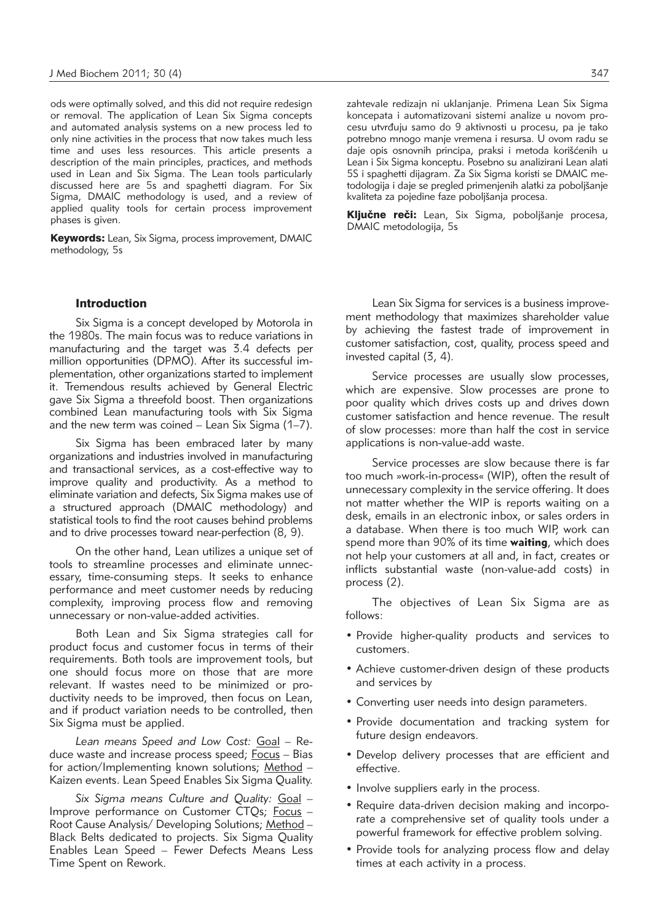ods were optimally solved, and this did not require redesign or removal. The application of Lean Six Sigma concepts and automated analysis systems on a new process led to only nine activities in the process that now takes much less time and uses less resources. This article presents a description of the main principles, practices, and methods used in Lean and Six Sigma. The Lean tools particularly discussed here are 5s and spaghetti diagram. For Six Sigma, DMAIC methodology is used, and a review of applied quality tools for certain process improvement phases is given.

Keywords: Lean, Six Sigma, process improvement, DMAIC methodology, 5s

## Introduction

Six Sigma is a concept developed by Motorola in the 1980s. The main focus was to reduce variations in manufacturing and the target was 3.4 defects per million opportunities (DPMO). After its successful implementation, other organizations started to implement it. Tremendous results achieved by General Electric gave Six Sigma a threefold boost. Then organizations combined Lean manufacturing tools with Six Sigma and the new term was coined  $-$  Lean Six Sigma (1–7).

Six Sigma has been embraced later by many organizations and industries involved in manufacturing and transactional services, as a cost-effective way to improve quality and productivity. As a method to eliminate variation and defects, Six Sigma makes use of a structured approach (DMAIC methodology) and statistical tools to find the root causes behind problems and to drive processes toward near-perfection (8, 9).

On the other hand, Lean utilizes a unique set of tools to streamline processes and eliminate unnecessary, time-consuming steps. It seeks to enhance performance and meet customer needs by reducing complexity, improving process flow and removing unnecessary or non-value-added activities.

Both Lean and Six Sigma strategies call for product focus and customer focus in terms of their requirements. Both tools are improvement tools, but one should focus more on those that are more relevant. If wastes need to be minimized or productivity needs to be improved, then focus on Lean, and if product variation needs to be controlled, then Six Sigma must be applied.

Lean means Speed and Low Cost: Goal - Reduce waste and increase process speed; Focus – Bias for action/Implementing known solutions; Method – Kaizen events. Lean Speed Enables Six Sigma Quality.

*Six Sigma means Culture and Quality:* Goal – Improve performance on Customer CTQs; Focus -Root Cause Analysis/ Developing Solutions; Method – Black Belts dedicated to projects. Six Sigma Quality Enables Lean Speed – Fewer Defects Means Less Time Spent on Rework.

zahtevale redizajn ni uklanjanje. Primena Lean Six Sigma koncepata i automatizovani sistemi analize u novom procesu utvrđuju samo do 9 aktivnosti u procesu, pa je tako potrebno mnogo manje vremena i resursa. U ovom radu se daje opis osnovnih principa, praksi i metoda korišćenih u Lean i Six Sigma konceptu. Posebno su analizirani Lean alati 5S i spaghetti dijagram. Za Six Sigma koristi se DMAIC me todologija i daje se pregled primenjenih alatki za poboljšanje kvaliteta za pojedine faze poboljšanja procesa.

Ključne reči: Lean, Six Sigma, poboljšanje procesa, DMAIC metodologija, 5s

Lean Six Sigma for services is a business improvement methodology that maximizes shareholder value by achieving the fastest trade of improvement in customer satisfaction, cost, quality, process speed and invested capital (3, 4).

Service processes are usually slow processes, which are expensive. Slow processes are prone to poor quality which drives costs up and drives down customer satisfaction and hence revenue. The result of slow processes: more than half the cost in service applications is non-value-add waste.

Service processes are slow because there is far too much »work-in-process« (WIP), often the result of unnecessary complexity in the service offering. It does not matter whether the WIP is reports waiting on a desk, emails in an electronic inbox, or sales orders in a database. When there is too much WIP, work can spend more than 90% of its time **waiting**, which does not help your customers at all and, in fact, creates or inflicts substantial waste (non-value-add costs) in process (2).

The objectives of Lean Six Sigma are as follows:

- Provide higher-quality products and services to customers.
- Achieve customer-driven design of these products and services by
- Converting user needs into design parameters.
- Provide documentation and tracking system for future design endeavors.
- Develop delivery processes that are efficient and effective.
- Involve suppliers early in the process.
- Require data-driven decision making and incorporate a comprehensive set of quality tools under a powerful framework for effective problem solving.
- Provide tools for analyzing process flow and delay times at each activity in a process.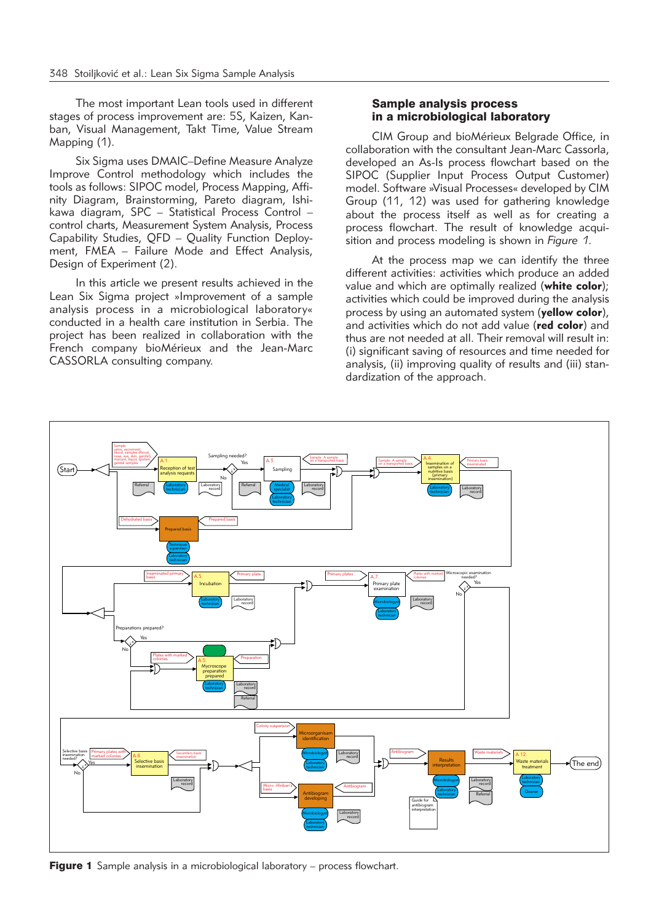The most important Lean tools used in different stages of process improvement are: 5S, Kaizen, Kanban, Visual Management, Takt Time, Value Stream Mapping (1).

Six Sigma uses DMAIC–Define Measure Analyze Improve Control methodology which includes the tools as follows: SIPOC model, Process Mapping, Affinity Diagram, Brainstorming, Pareto diagram, Ishikawa diagram, SPC – Statistical Process Control – control charts, Measurement System Analysis, Process Capability Studies, QFD - Quality Function Deployment, FMEA – Failure Mode and Effect Analysis, Design of Experiment (2).

In this article we present results achieved in the Lean Six Sigma project »Improvement of a sample analysis process in a microbiological laboratory« conducted in a health care institution in Serbia. The project has been realized in collaboration with the French company bioMérieux and the Jean-Marc CASSORLA consulting company.

# Sample analysis process in a microbiological laboratory

CIM Group and bioMérieux Belgrade Office, in collaboration with the consultant Jean-Marc Cassorla, developed an As-Is process flowchart based on the SIPOC (Supplier Input Process Output Customer) model. Software »Visual Processes« developed by CIM Group (11, 12) was used for gathering knowledge about the process itself as well as for creating a process flowchart. The result of knowledge acquisition and process modeling is shown in *Figure 1*.

At the process map we can identify the three different activities: activities which produce an added value and which are optimally realized (**white color**); activities which could be improved during the analysis process by using an automated system (**yellow color**), and activities which do not add value (**red color**) and thus are not needed at all. Their removal will result in: (i) significant saving of resources and time needed for analysis, (ii) improving quality of results and (iii) standardization of the approach.



**Figure 1** Sample analysis in a microbiological laboratory – process flowchart.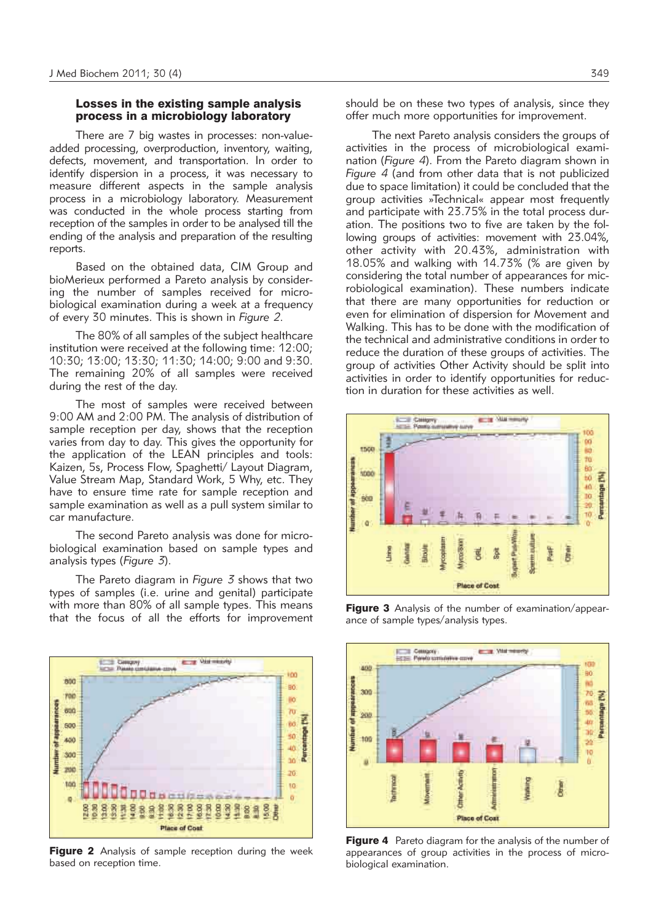#### Losses in the existing sample analysis process in a microbiology laboratory

There are 7 big wastes in processes: non-valueadded processing, overproduction, inventory, waiting, defects, movement, and transportation. In order to identify dispersion in a process, it was necessary to measure different aspects in the sample analysis process in a microbiology laboratory. Measurement was conducted in the whole process starting from reception of the samples in order to be analysed till the ending of the analysis and preparation of the resulting reports.

Based on the obtained data, CIM Group and bioMerieux performed a Pareto analysis by considering the number of samples received for microbiological examination during a week at a frequency of every 30 minutes. This is shown in *Figure 2*.

The 80% of all samples of the subject healthcare institution were received at the following time: 12:00; 10:30; 13:00; 13:30; 11:30; 14:00; 9:00 and 9:30. The remaining 20% of all samples were received during the rest of the day.

The most of samples were received between 9:00 AM and 2:00 PM. The analysis of distribution of sample reception per day, shows that the reception varies from day to day. This gives the opportunity for the application of the LEAN principles and tools: Kaizen, 5s, Process Flow, Spaghetti/ Layout Diagram, Value Stream Map, Standard Work, 5 Why, etc. They have to ensure time rate for sample reception and sample examination as well as a pull system similar to car manufacture.

The second Pareto analysis was done for microbiological examination based on sample types and analysis types (*Figure 3*).

The Pareto diagram in *Figure 3* shows that two types of samples (i.e. urine and genital) participate with more than 80% of all sample types. This means that the focus of all the efforts for improvement



**Figure 2** Analysis of sample reception during the week based on reception time.

should be on these two types of analysis, since they offer much more opportunities for improvement.

The next Pareto analysis considers the groups of activities in the process of microbiological examination (*Figure 4*). From the Pareto diagram shown in *Figure 4* (and from other data that is not publicized due to space limitation) it could be concluded that the group activities »Technical« appear most frequently and participate with 23.75% in the total process duration. The positions two to five are taken by the following groups of activities: movement with 23.04%, other activity with 20.43%, administration with 18.05% and walking with 14.73% (% are given by considering the total number of appearances for microbiological examination). These numbers indicate that there are many opportunities for reduction or even for elimination of dispersion for Movement and Walking. This has to be done with the modification of the technical and administrative conditions in order to reduce the duration of these groups of activities. The group of activities Other Activity should be split into activities in order to identify opportunities for reduction in duration for these activities as well.



Figure 3 Analysis of the number of examination/appearance of sample types/analysis types.



Figure 4 Pareto diagram for the analysis of the number of appearances of group activities in the process of microbiological examination.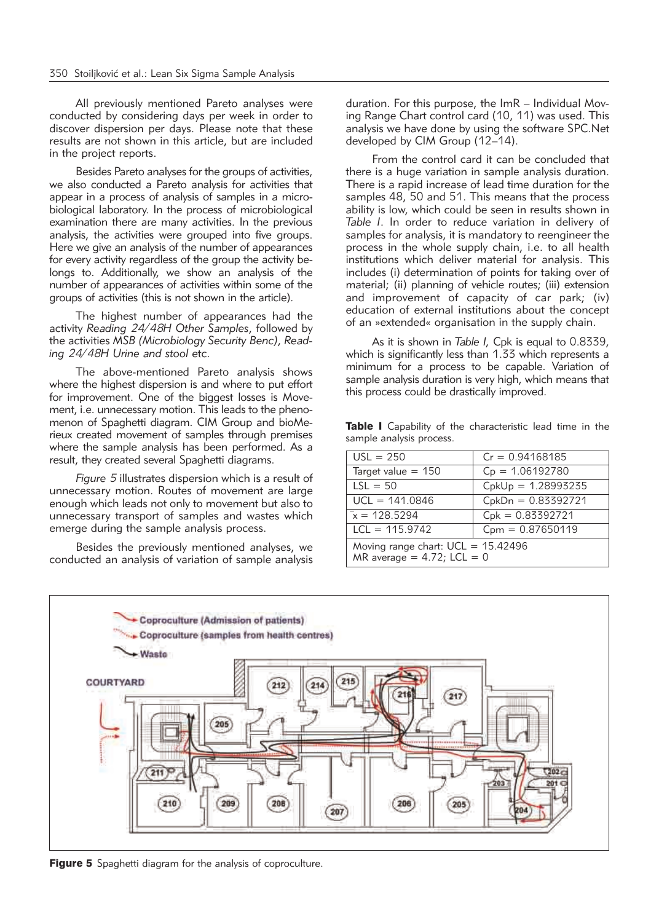All previously mentioned Pareto analyses were conducted by considering days per week in order to discover dispersion per days. Please note that these results are not shown in this article, but are included in the project reports.

Besides Pareto analyses for the groups of activities, we also conducted a Pareto analysis for activities that appear in a process of analysis of samples in a microbiological laboratory. In the process of microbiological examination there are many activities. In the previous analysis, the activities were grouped into five groups. Here we give an analysis of the number of appearances for every activity regardless of the group the activity be longs to. Additionally, we show an analysis of the number of appearances of activities within some of the groups of activities (this is not shown in the article).

The highest number of appearances had the activity *Reading 24/48H Other Samples*, followed by the activities *MSB (Microbiology Security Benc)*, *Read ing 24/48H Urine and stool* etc.

The above-mentioned Pareto analysis shows where the highest dispersion is and where to put effort for improvement. One of the biggest losses is Movement, i.e. unnecessary motion. This leads to the phenomenon of Spaghetti diagram. CIM Group and bioMerieux created movement of samples through premises where the sample analysis has been performed. As a result, they created several Spaghetti diagrams.

*Figure 5* illustrates dispersion which is a result of unnecessary motion. Routes of movement are large enough which leads not only to movement but also to unnecessary transport of samples and wastes which emerge during the sample analysis process.

Besides the previously mentioned analyses, we conducted an analysis of variation of sample analysis duration. For this purpose, the ImR - Individual Moving Range Chart control card (10, 11) was used. This analysis we have done by using the software SPC.Net developed by CIM Group (12–14).

From the control card it can be concluded that there is a huge variation in sample analysis duration. There is a rapid increase of lead time duration for the samples 48, 50 and 51. This means that the process ability is low, which could be seen in results shown in *Table I*. In order to reduce variation in delivery of samples for analysis, it is mandatory to reengineer the process in the whole supply chain, i.e. to all health institutions which deliver material for analysis. This includes (i) determination of points for taking over of material; (ii) planning of vehicle routes; (iii) extension and improvement of capacity of car park; (iv) education of external institutions about the concept of an »extended« organisation in the supply chain.

As it is shown in *Table I,* Cpk is equal to 0.8339, which is significantly less than 1.33 which represents a minimum for a process to be capable. Variation of sample analysis duration is very high, which means that this process could be drastically improved.

Table I Capability of the characteristic lead time in the sample analysis process.

| $USL = 250$                                                           | $Cr = 0.94168185$    |  |
|-----------------------------------------------------------------------|----------------------|--|
| Target value $= 150$                                                  | $C_p = 1.06192780$   |  |
| $LSL = 50$                                                            | $CpkUp = 1.28993235$ |  |
| $UCL = 141.0846$                                                      | $CpkDn = 0.83392721$ |  |
| $x = 128.5294$                                                        | $Cpk = 0.83392721$   |  |
| $LCL = 115.9742$                                                      | $Cpm = 0.87650119$   |  |
| Moving range chart: $UCL = 15.42496$<br>MR average = $4.72$ ; LCL = 0 |                      |  |



Figure 5 Spaghetti diagram for the analysis of coproculture.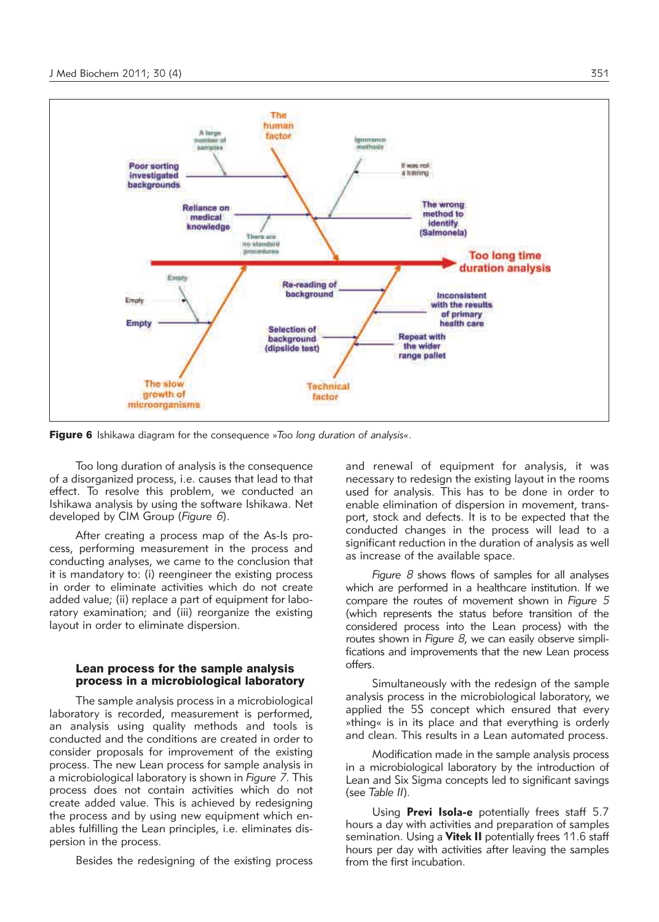

Figure 6 Ishikawa diagram for the consequence »*Too long duration of analysis«*.

Too long duration of analysis is the consequence of a disorganized process, i.e. causes that lead to that effect. To resolve this problem, we conducted an Ishikawa analysis by using the software Ishikawa. Net developed by CIM Group (*Figure 6*).

After creating a process map of the As-Is process, performing measurement in the process and conducting analyses, we came to the conclusion that it is mandatory to: (i) reengineer the existing process in order to eliminate activities which do not create added value; (ii) replace a part of equipment for laboratory examination; and (iii) reorganize the existing layout in order to eliminate dispersion.

# Lean process for the sample analysis process in a microbiological laboratory

The sample analysis process in a microbiological laboratory is recorded, measurement is performed, an analysis using quality methods and tools is conducted and the conditions are created in order to consider proposals for improvement of the existing process. The new Lean process for sample analysis in a microbiological laboratory is shown in *Figure 7*. This process does not contain activities which do not create added value. This is achieved by redesigning the process and by using new equipment which enables fulfilling the Lean principles, i.e. eliminates dispersion in the process.

Besides the redesigning of the existing process

and renewal of equipment for analysis, it was necessary to redesign the existing layout in the rooms used for analysis. This has to be done in order to enable elimination of dispersion in movement, transport, stock and defects. It is to be expected that the conducted changes in the process will lead to a significant reduction in the duration of analysis as well as increase of the available space.

*Figure 8* shows flows of samples for all analyses which are performed in a healthcare institution. If we compare the routes of movement shown in *Figure 5* (which represents the status before transition of the considered process into the Lean process) with the routes shown in *Figure 8*, we can easily observe simplifications and improvements that the new Lean process offers.

Simultaneously with the redesign of the sample analysis process in the microbiological laboratory, we applied the 5S concept which ensured that every »thing« is in its place and that everything is orderly and clean. This results in a Lean automated process.

Modification made in the sample analysis process in a microbiological laboratory by the introduction of Lean and Six Sigma concepts led to significant savings (see *Table II*).

Using **Previ Isola-e** potentially frees staff 5.7 hours a day with activities and preparation of samples semination. Using a **Vitek II** potentially frees 11.6 staff hours per day with activities after leaving the samples from the first incubation.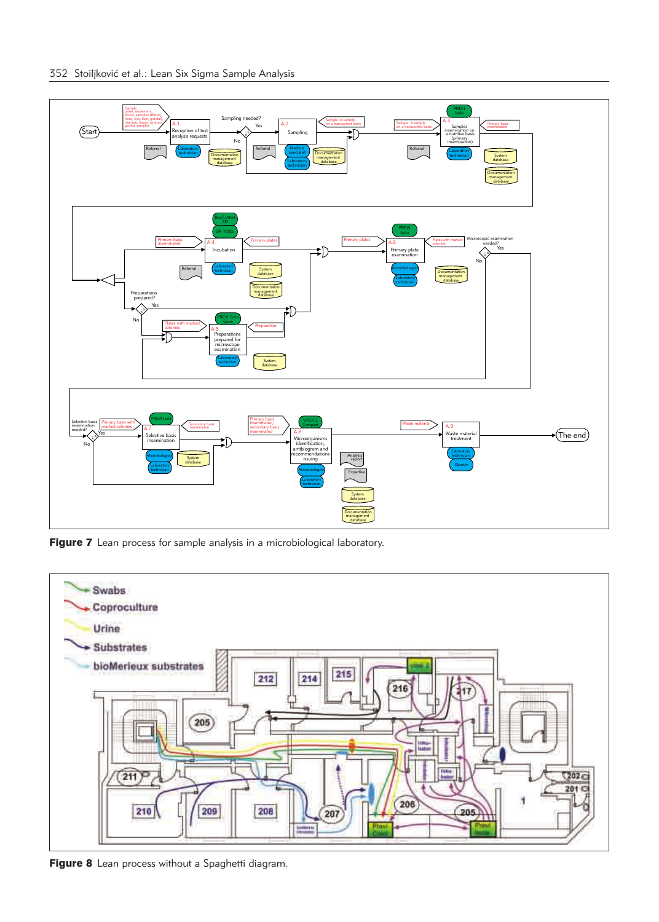

Figure 7 Lean process for sample analysis in a microbiological laboratory.



Figure 8 Lean process without a Spaghetti diagram.